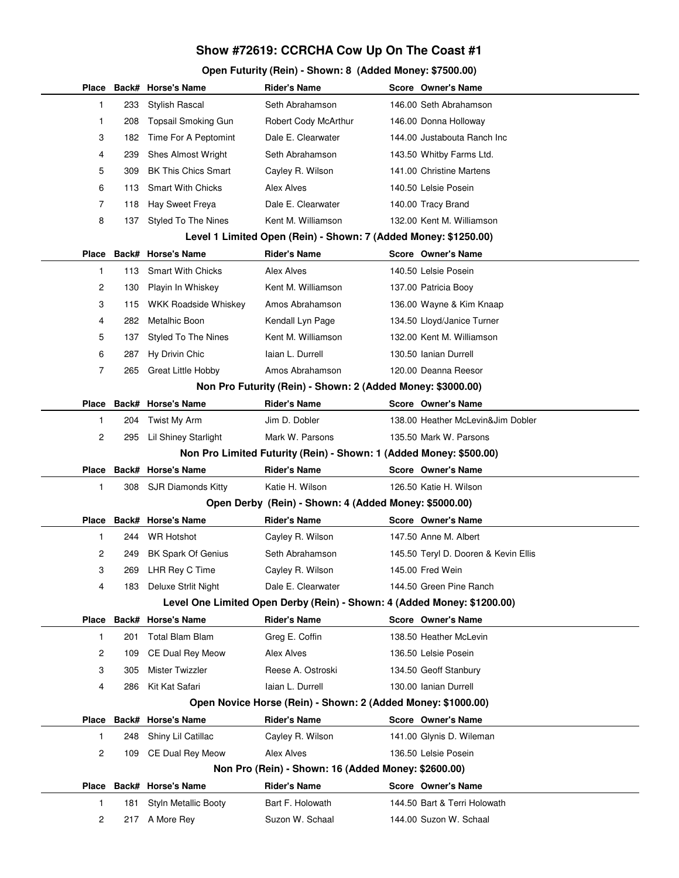## **Show #72619: CCRCHA Cow Up On The Coast #1**

## **Open Futurity (Rein) - Shown: 8 (Added Money: \$7500.00)**

|                                                                 |     | Place Back# Horse's Name    | <b>Rider's Name</b>                                                     |  | Score Owner's Name                   |  |  |  |  |
|-----------------------------------------------------------------|-----|-----------------------------|-------------------------------------------------------------------------|--|--------------------------------------|--|--|--|--|
| 1                                                               | 233 | Stylish Rascal              | Seth Abrahamson                                                         |  | 146.00 Seth Abrahamson               |  |  |  |  |
| 1                                                               | 208 | Topsail Smoking Gun         | Robert Cody McArthur                                                    |  | 146.00 Donna Holloway                |  |  |  |  |
| 3                                                               | 182 | Time For A Peptomint        | Dale E. Clearwater                                                      |  | 144.00 Justabouta Ranch Inc          |  |  |  |  |
| 4                                                               | 239 | <b>Shes Almost Wright</b>   | Seth Abrahamson                                                         |  | 143.50 Whitby Farms Ltd.             |  |  |  |  |
| 5                                                               | 309 | <b>BK This Chics Smart</b>  | Cayley R. Wilson                                                        |  | 141.00 Christine Martens             |  |  |  |  |
| 6                                                               | 113 | <b>Smart With Chicks</b>    | Alex Alves                                                              |  | 140.50 Lelsie Posein                 |  |  |  |  |
| 7                                                               | 118 | Hay Sweet Freya             | Dale E. Clearwater                                                      |  | 140.00 Tracy Brand                   |  |  |  |  |
| 8                                                               | 137 | <b>Styled To The Nines</b>  | Kent M. Williamson                                                      |  | 132.00 Kent M. Williamson            |  |  |  |  |
| Level 1 Limited Open (Rein) - Shown: 7 (Added Money: \$1250.00) |     |                             |                                                                         |  |                                      |  |  |  |  |
| Place                                                           |     | Back# Horse's Name          | <b>Rider's Name</b>                                                     |  | Score Owner's Name                   |  |  |  |  |
| $\mathbf{1}$                                                    | 113 | <b>Smart With Chicks</b>    | Alex Alves                                                              |  | 140.50 Lelsie Posein                 |  |  |  |  |
| 2                                                               | 130 | Playin In Whiskey           | Kent M. Williamson                                                      |  | 137.00 Patricia Booy                 |  |  |  |  |
| 3                                                               | 115 | WKK Roadside Whiskey        | Amos Abrahamson                                                         |  | 136.00 Wayne & Kim Knaap             |  |  |  |  |
| 4                                                               | 282 | Metalhic Boon               | Kendall Lyn Page                                                        |  | 134.50 Lloyd/Janice Turner           |  |  |  |  |
| 5                                                               | 137 | Styled To The Nines         | Kent M. Williamson                                                      |  | 132.00 Kent M. Williamson            |  |  |  |  |
| 6                                                               | 287 | Hy Drivin Chic              | laian L. Durrell                                                        |  | 130.50 Ianian Durrell                |  |  |  |  |
| 7                                                               | 265 | <b>Great Little Hobby</b>   | Amos Abrahamson                                                         |  | 120.00 Deanna Reesor                 |  |  |  |  |
|                                                                 |     |                             | Non Pro Futurity (Rein) - Shown: 2 (Added Money: \$3000.00)             |  |                                      |  |  |  |  |
|                                                                 |     | Place Back# Horse's Name    | <b>Rider's Name</b>                                                     |  | Score Owner's Name                   |  |  |  |  |
| 1                                                               | 204 | Twist My Arm                | Jim D. Dobler                                                           |  | 138.00 Heather McLevin&Jim Dobler    |  |  |  |  |
| 2                                                               | 295 | <b>Lil Shiney Starlight</b> | Mark W. Parsons                                                         |  | 135.50 Mark W. Parsons               |  |  |  |  |
|                                                                 |     |                             | Non Pro Limited Futurity (Rein) - Shown: 1 (Added Money: \$500.00)      |  |                                      |  |  |  |  |
|                                                                 |     | Place Back# Horse's Name    | <b>Rider's Name</b>                                                     |  | Score Owner's Name                   |  |  |  |  |
| 1                                                               | 308 | SJR Diamonds Kitty          | Katie H. Wilson                                                         |  | 126.50 Katie H. Wilson               |  |  |  |  |
|                                                                 |     |                             | Open Derby (Rein) - Shown: 4 (Added Money: \$5000.00)                   |  |                                      |  |  |  |  |
|                                                                 |     | Place Back# Horse's Name    | <b>Rider's Name</b>                                                     |  | Score Owner's Name                   |  |  |  |  |
| 1                                                               | 244 | <b>WR Hotshot</b>           | Cayley R. Wilson                                                        |  | 147.50 Anne M. Albert                |  |  |  |  |
| 2                                                               | 249 | <b>BK Spark Of Genius</b>   | Seth Abrahamson                                                         |  | 145.50 Teryl D. Dooren & Kevin Ellis |  |  |  |  |
| 3                                                               | 269 | LHR Rey C Time              | Cayley R. Wilson                                                        |  | 145.00 Fred Wein                     |  |  |  |  |
| 4                                                               | 183 | Deluxe Strlit Night         | Dale E. Clearwater                                                      |  | 144.50 Green Pine Ranch              |  |  |  |  |
|                                                                 |     |                             | Level One Limited Open Derby (Rein) - Shown: 4 (Added Money: \$1200.00) |  |                                      |  |  |  |  |
|                                                                 |     | Place Back# Horse's Name    | <b>Rider's Name</b>                                                     |  | Score Owner's Name                   |  |  |  |  |
| 1                                                               | 201 | <b>Total Blam Blam</b>      | Greg E. Coffin                                                          |  | 138.50 Heather McLevin               |  |  |  |  |
| 2                                                               | 109 | CE Dual Rey Meow            | Alex Alves                                                              |  | 136.50 Lelsie Posein                 |  |  |  |  |
| 3                                                               | 305 | Mister Twizzler             | Reese A. Ostroski                                                       |  | 134.50 Geoff Stanbury                |  |  |  |  |
| 4                                                               | 286 | Kit Kat Safari              | laian L. Durrell                                                        |  | 130.00 Ianian Durrell                |  |  |  |  |
|                                                                 |     |                             | Open Novice Horse (Rein) - Shown: 2 (Added Money: \$1000.00)            |  |                                      |  |  |  |  |
|                                                                 |     | Place Back# Horse's Name    | <b>Rider's Name</b>                                                     |  | Score Owner's Name                   |  |  |  |  |
| 1                                                               | 248 | Shiny Lil Catillac          | Cayley R. Wilson                                                        |  | 141.00 Glynis D. Wileman             |  |  |  |  |
| 2                                                               | 109 | CE Dual Rey Meow            | Alex Alves                                                              |  | 136.50 Lelsie Posein                 |  |  |  |  |
|                                                                 |     |                             | Non Pro (Rein) - Shown: 16 (Added Money: \$2600.00)                     |  |                                      |  |  |  |  |
|                                                                 |     | Place Back# Horse's Name    | <b>Rider's Name</b>                                                     |  | Score Owner's Name                   |  |  |  |  |
| 1                                                               | 181 | Styln Metallic Booty        | Bart F. Holowath                                                        |  | 144.50 Bart & Terri Holowath         |  |  |  |  |
| 2                                                               | 217 | A More Rey                  | Suzon W. Schaal                                                         |  | 144.00 Suzon W. Schaal               |  |  |  |  |